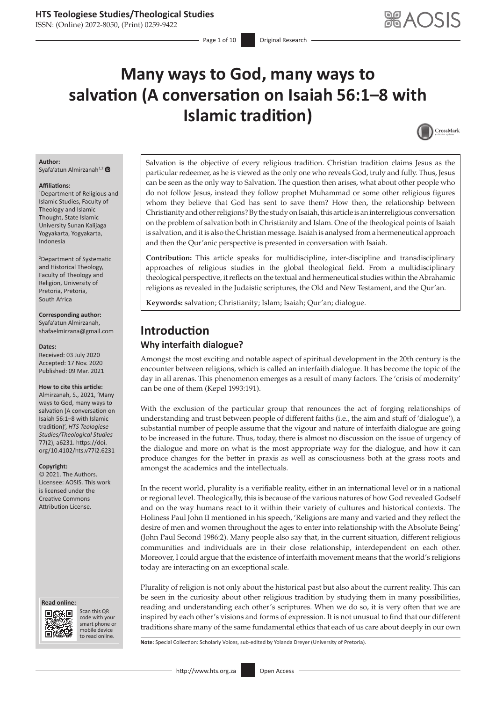ISSN: (Online) 2072-8050, (Print) 0259-9422

# **Many ways to God, many ways to salvation (A conversation on Isaiah 56:1–8 with Islamic tradition)**



#### **Author:** Syafa'atun Almirzanah<sup>1,[2](https://orcid.org/0000-0003-0692-6544)</sup>

#### **Affiliations:**

1 Department of Religious and Islamic Studies, Faculty of Theology and Islamic Thought, State Islamic University Sunan Kalijaga Yogyakarta, Yogyakarta, Indonesia

2 Department of Systematic and Historical Theology, Faculty of Theology and Religion, University of Pretoria, Pretoria, South Africa

#### **Corresponding author:** Syafa'atun Almirzanah,

[shafaelmirzana@gmail.com](mailto:shafaelmirzana@gmail.com)

### **Dates:**

Received: 03 July 2020 Accepted: 17 Nov. 2020 Published: 09 Mar. 2021

#### **How to cite this article:**

Almirzanah, S., 2021, 'Many ways to God, many ways to salvation (A conversation on Isaiah 56:1–8 with Islamic tradition)', *HTS Teologiese Studies/Theological Studies* 77(2), a6231. [https://doi.](https://doi.org/10.4102/hts.v77i2.6231) [org/10.4102/hts.v77i2.6231](https://doi.org/10.4102/hts.v77i2.6231)

#### **Copyright:**

© 2021. The Authors. Licensee: AOSIS. This work is licensed under the Creative Commons Attribution License.

#### **Read online: Read online:**



Scan this QR code with your Scan this QR<br>code with your<br>smart phone or<br>mobile device mobile device to read online. to read online.

Salvation is the objective of every religious tradition. Christian tradition claims Jesus as the particular redeemer, as he is viewed as the only one who reveals God, truly and fully. Thus, Jesus can be seen as the only way to Salvation. The question then arises, what about other people who do not follow Jesus, instead they follow prophet Muhammad or some other religious figures whom they believe that God has sent to save them? How then, the relationship between Christianity and other religions? By the study on Isaiah, this article is an interreligious conversation on the problem of salvation both in Christianity and Islam. One of the theological points of Isaiah is salvation, and it is also the Christian message. Isaiah is analysed from a hermeneutical approach and then the Qur'anic perspective is presented in conversation with Isaiah.

**Contribution:** This article speaks for multidiscipline, inter-discipline and transdisciplinary approaches of religious studies in the global theological field. From a multidisciplinary theological perspective, it reflects on the textual and hermeneutical studies within the Abrahamic religions as revealed in the Judaistic scriptures, the Old and New Testament, and the Qur'an.

**Keywords:** salvation; Christianity; Islam; Isaiah; Qur'an; dialogue.

# **Introduction Why interfaith dialogue?**

Amongst the most exciting and notable aspect of spiritual development in the 20th century is the encounter between religions, which is called an interfaith dialogue. It has become the topic of the day in all arenas. This phenomenon emerges as a result of many factors. The 'crisis of modernity' can be one of them (Kepel 1993:191).

With the exclusion of the particular group that renounces the act of forging relationships of understanding and trust between people of different faiths (i.e., the aim and stuff of 'dialogue'), a substantial number of people assume that the vigour and nature of interfaith dialogue are going to be increased in the future. Thus, today, there is almost no discussion on the issue of urgency of the dialogue and more on what is the most appropriate way for the dialogue, and how it can produce changes for the better in praxis as well as consciousness both at the grass roots and amongst the academics and the intellectuals.

In the recent world, plurality is a verifiable reality, either in an international level or in a national or regional level. Theologically, this is because of the various natures of how God revealed Godself and on the way humans react to it within their variety of cultures and historical contexts. The Holiness Paul John II mentioned in his speech, 'Religions are many and varied and they reflect the desire of men and women throughout the ages to enter into relationship with the Absolute Being' (John Paul Second 1986:2). Many people also say that, in the current situation, different religious communities and individuals are in their close relationship, interdependent on each other. Moreover, I could argue that the existence of interfaith movement means that the world's religions today are interacting on an exceptional scale.

Plurality of religion is not only about the historical past but also about the current reality. This can be seen in the curiosity about other religious tradition by studying them in many possibilities, reading and understanding each other's scriptures. When we do so, it is very often that we are inspired by each other's visions and forms of expression. It is not unusual to find that our different traditions share many of the same fundamental ethics that each of us care about deeply in our own

**Note:** Special Collection: Scholarly Voices, sub-edited by Yolanda Dreyer (University of Pretoria).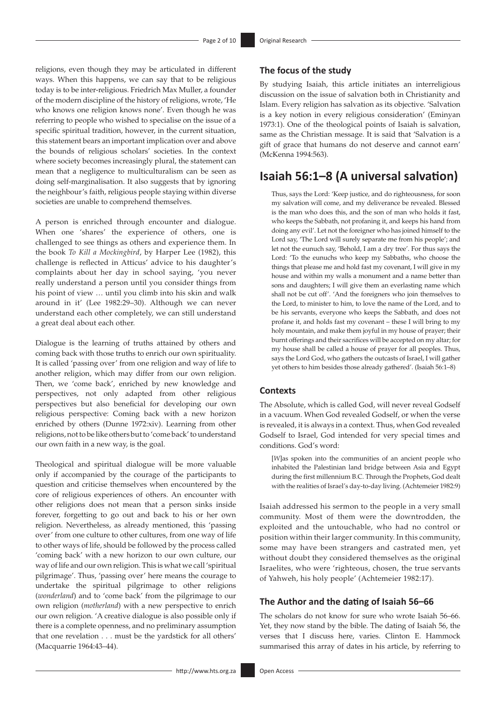religions, even though they may be articulated in different ways. When this happens, we can say that to be religious today is to be inter-religious. Friedrich Max Muller, a founder of the modern discipline of the history of religions, wrote, 'He who knows one religion knows none'. Even though he was referring to people who wished to specialise on the issue of a specific spiritual tradition, however, in the current situation, this statement bears an important implication over and above the bounds of religious scholars' societies. In the context where society becomes increasingly plural, the statement can mean that a negligence to multiculturalism can be seen as doing self-marginalisation. It also suggests that by ignoring the neighbour's faith, religious people staying within diverse societies are unable to comprehend themselves.

A person is enriched through encounter and dialogue. When one 'shares' the experience of others, one is challenged to see things as others and experience them. In the book *To Kill a Mockingbird*, by Harper Lee (1982), this challenge is reflected in Atticus' advice to his daughter's complaints about her day in school saying, 'you never really understand a person until you consider things from his point of view … until you climb into his skin and walk around in it' (Lee 1982:29–30). Although we can never understand each other completely, we can still understand a great deal about each other.

Dialogue is the learning of truths attained by others and coming back with those truths to enrich our own spirituality. It is called 'passing over' from one religion and way of life to another religion, which may differ from our own religion. Then, we 'come back', enriched by new knowledge and perspectives, not only adapted from other religious perspectives but also beneficial for developing our own religious perspective: Coming back with a new horizon enriched by others (Dunne 1972:xiv). Learning from other religions, not to be like others but to 'come back' to understand our own faith in a new way, is the goal.

Theological and spiritual dialogue will be more valuable only if accompanied by the courage of the participants to question and criticise themselves when encountered by the core of religious experiences of others. An encounter with other religions does not mean that a person sinks inside forever, forgetting to go out and back to his or her own religion. Nevertheless, as already mentioned, this 'passing over' from one culture to other cultures, from one way of life to other ways of life, should be followed by the process called 'coming back' with a new horizon to our own culture, our way of life and our own religion. This is what we call 'spiritual pilgrimage'. Thus, 'passing over' here means the courage to undertake the spiritual pilgrimage to other religions (*wonderland*) and to 'come back' from the pilgrimage to our own religion (*motherland*) with a new perspective to enrich our own religion. 'A creative dialogue is also possible only if there is a complete openness, and no preliminary assumption that one revelation . . . must be the yardstick for all others' (Macquarrie 1964:43–44).

# **The focus of the study**

By studying Isaiah, this article initiates an interreligious discussion on the issue of salvation both in Christianity and Islam. Every religion has salvation as its objective. 'Salvation is a key notion in every religious consideration' (Eminyan 1973:1). One of the theological points of Isaiah is salvation, same as the Christian message. It is said that 'Salvation is a gift of grace that humans do not deserve and cannot earn' (McKenna 1994:563).

# **Isaiah 56:1–8 (A universal salvation)**

Thus, says the Lord: 'Keep justice, and do righteousness, for soon my salvation will come, and my deliverance be revealed. Blessed is the man who does this, and the son of man who holds it fast, who keeps the Sabbath, not profaning it, and keeps his hand from doing any evil'. Let not the foreigner who has joined himself to the Lord say, 'The Lord will surely separate me from his people'; and let not the eunuch say, 'Behold, I am a dry tree'. For thus says the Lord: 'To the eunuchs who keep my Sabbaths, who choose the things that please me and hold fast my covenant, I will give in my house and within my walls a monument and a name better than sons and daughters; I will give them an everlasting name which shall not be cut off'. 'And the foreigners who join themselves to the Lord, to minister to him, to love the name of the Lord, and to be his servants, everyone who keeps the Sabbath, and does not profane it, and holds fast my covenant – these I will bring to my holy mountain, and make them joyful in my house of prayer; their burnt offerings and their sacrifices will be accepted on my altar; for my house shall be called a house of prayer for all peoples. Thus, says the Lord God, who gathers the outcasts of Israel, I will gather yet others to him besides those already gathered'. (Isaiah 56:1–8)

## **Contexts**

The Absolute, which is called God, will never reveal Godself in a vacuum. When God revealed Godself, or when the verse is revealed, it is always in a context. Thus, when God revealed Godself to Israel, God intended for very special times and conditions. God's word:

[*W*]as spoken into the communities of an ancient people who inhabited the Palestinian land bridge between Asia and Egypt during the first millennium B.C. Through the Prophets, God dealt with the realities of Israel's day-to-day living. (Achtemeier 1982:9)

Isaiah addressed his sermon to the people in a very small community. Most of them were the downtrodden, the exploited and the untouchable, who had no control or position within their larger community. In this community, some may have been strangers and castrated men, yet without doubt they considered themselves as the original Israelites, who were 'righteous, chosen, the true servants of Yahweh, his holy people' (Achtemeier 1982:17).

## **The Author and the dating of Isaiah 56–66**

The scholars do not know for sure who wrote Isaiah 56–66. Yet, they now stand by the bible. The dating of Isaiah 56, the verses that I discuss here, varies. Clinton E. Hammock summarised this array of dates in his article, by referring to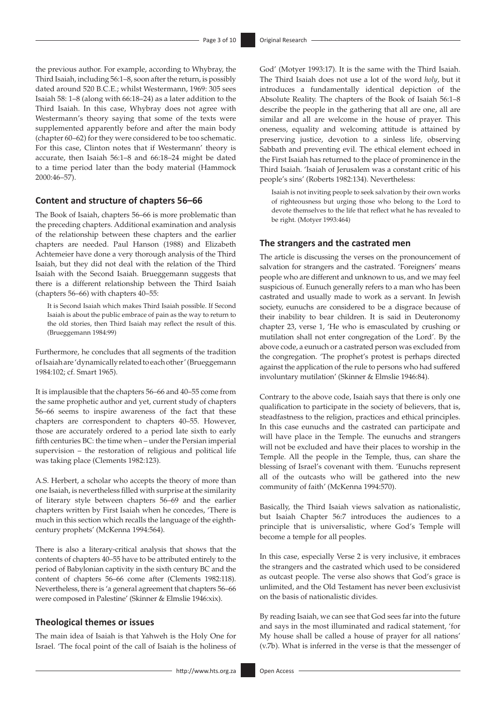the previous author. For example, according to Whybray, the Third Isaiah, including 56:1–8, soon after the return, is possibly dated around 520 B.C.E.; whilst Westermann, 1969: 305 sees Isaiah 58: 1–8 (along with 66:18–24) as a later addition to the Third Isaiah. In this case, Whybray does not agree with Westermann's theory saying that some of the texts were supplemented apparently before and after the main body (chapter 60–62) for they were considered to be too schematic. For this case, Clinton notes that if Westermann' theory is accurate, then Isaiah 56:1–8 and 66:18–24 might be dated to a time period later than the body material (Hammock 2000:46–57).

## **Content and structure of chapters 56–66**

The Book of Isaiah, chapters 56–66 is more problematic than the preceding chapters. Additional examination and analysis of the relationship between these chapters and the earlier chapters are needed. Paul Hanson (1988) and Elizabeth Achtemeier have done a very thorough analysis of the Third Isaiah, but they did not deal with the relation of the Third Isaiah with the Second Isaiah. Brueggemann suggests that there is a different relationship between the Third Isaiah (chapters 56–66) with chapters 40–55:

It is Second Isaiah which makes Third Isaiah possible. If Second Isaiah is about the public embrace of pain as the way to return to the old stories, then Third Isaiah may reflect the result of this. (Brueggemann 1984:99)

Furthermore, he concludes that all segments of the tradition of Isaiah are 'dynamically related to each other' (Brueggemann 1984:102; cf. Smart 1965).

It is implausible that the chapters 56–66 and 40–55 come from the same prophetic author and yet, current study of chapters 56–66 seems to inspire awareness of the fact that these chapters are correspondent to chapters 40–55. However, those are accurately ordered to a period late sixth to early fifth centuries BC: the time when – under the Persian imperial supervision – the restoration of religious and political life was taking place (Clements 1982:123).

A.S. Herbert, a scholar who accepts the theory of more than one Isaiah, is nevertheless filled with surprise at the similarity of literary style between chapters 56–69 and the earlier chapters written by First Isaiah when he concedes, 'There is much in this section which recalls the language of the eighthcentury prophets' (McKenna 1994:564).

There is also a literary-critical analysis that shows that the contents of chapters 40–55 have to be attributed entirely to the period of Babylonian captivity in the sixth century BC and the content of chapters 56–66 come after (Clements 1982:118). Nevertheless, there is 'a general agreement that chapters 56–66 were composed in Palestine' (Skinner & Elmslie 1946:xix).

# **Theological themes or issues**

The main idea of Isaiah is that Yahweh is the Holy One for Israel. 'The focal point of the call of Isaiah is the holiness of God' (Motyer 1993:17). It is the same with the Third Isaiah. The Third Isaiah does not use a lot of the word *holy*, but it introduces a fundamentally identical depiction of the Absolute Reality. The chapters of the Book of Isaiah 56:1–8 describe the people in the gathering that all are one, all are similar and all are welcome in the house of prayer. This oneness, equality and welcoming attitude is attained by preserving justice, devotion to a sinless life*,* observing Sabbath and preventing evil. The ethical element echoed in the First Isaiah has returned to the place of prominence in the Third Isaiah. 'Isaiah of Jerusalem was a constant critic of his people's sins' (Roberts 1982:134). Nevertheless:

Isaiah is not inviting people to seek salvation by their own works of righteousness but urging those who belong to the Lord to devote themselves to the life that reflect what he has revealed to be right. (Motyer 1993:464)

## **The strangers and the castrated men**

The article is discussing the verses on the pronouncement of salvation for strangers and the castrated. 'Foreigners' means people who are different and unknown to us, and we may feel suspicious of. Eunuch generally refers to a man who has been castrated and usually made to work as a servant. In Jewish society, eunuchs are considered to be a disgrace because of their inability to bear children. It is said in Deuteronomy chapter 23, verse 1, 'He who is emasculated by crushing or mutilation shall not enter congregation of the Lord'. By the above code, a eunuch or a castrated person was excluded from the congregation. 'The prophet's protest is perhaps directed against the application of the rule to persons who had suffered involuntary mutilation' (Skinner & Elmslie 1946:84).

Contrary to the above code, Isaiah says that there is only one qualification to participate in the society of believers, that is, steadfastness to the religion, practices and ethical principles. In this case eunuchs and the castrated can participate and will have place in the Temple. The eunuchs and strangers will not be excluded and have their places to worship in the Temple. All the people in the Temple, thus, can share the blessing of Israel's covenant with them. 'Eunuchs represent all of the outcasts who will be gathered into the new community of faith' (McKenna 1994:570).

Basically, the Third Isaiah views salvation as nationalistic, but Isaiah Chapter 56:7 introduces the audiences to a principle that is universalistic, where God's Temple will become a temple for all peoples.

In this case, especially Verse 2 is very inclusive, it embraces the strangers and the castrated which used to be considered as outcast people. The verse also shows that God's grace is unlimited, and the Old Testament has never been exclusivist on the basis of nationalistic divides.

By reading Isaiah, we can see that God sees far into the future and says in the most illuminated and radical statement, 'for My house shall be called a house of prayer for all nations' (v.7b). What is inferred in the verse is that the messenger of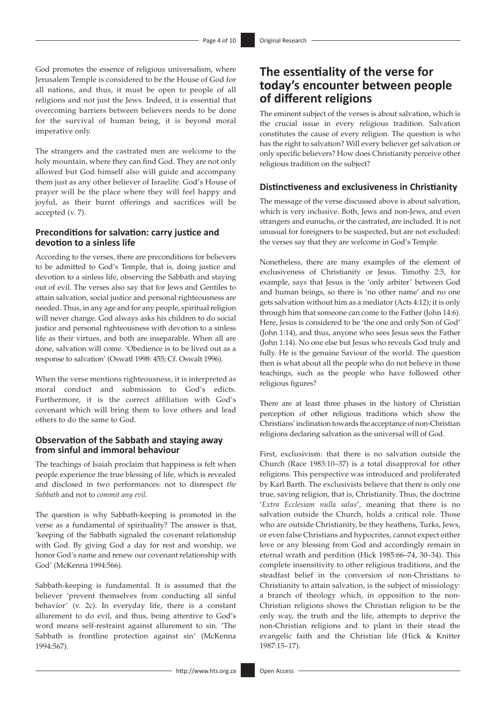God promotes the essence of religious universalism, where Jerusalem Temple is considered to be the House of God for all nations, and thus, it must be open to people of all religions and not just the Jews. Indeed, it is essential that overcoming barriers between believers needs to be done for the survival of human being, it is beyond moral imperative only.

The strangers and the castrated men are welcome to the holy mountain, where they can find God. They are not only allowed but God himself also will guide and accompany them just as any other believer of Israelite. God's House of prayer will be the place where they will feel happy and joyful, as their burnt offerings and sacrifices will be accepted (v. 7).

# **Preconditions for salvation: carry justice and devotion to a sinless life**

According to the verses, there are preconditions for believers to be admitted to God's Temple, that is, doing justice and devotion to a sinless life, observing the Sabbath and staying out of evil. The verses also say that for Jews and Gentiles to attain salvation, social justice and personal righteousness are needed. Thus, in any age and for any people, spiritual religion will never change. God always asks his children to do social justice and personal righteousness with devotion to a sinless life as their virtues, and both are inseparable. When all are done, salvation will come. 'Obedience is to be lived out as a response to salvation' (Oswatl 1998: 455; Cf. Oswalt 1996).

When the verse mentions righteousness, it is interpreted as moral conduct and submission to God's edicts. Furthermore, it is the correct affiliation with God's covenant which will bring them to love others and lead others to do the same to God.

## **Observation of the Sabbath and staying away from sinful and immoral behaviour**

The teachings of Isaiah proclaim that happiness is felt when people experience the true blessing of life, which is revealed and disclosed in two performances: not to disrespect *the Sabbath* and not to *commit any evil.*

The question is why Sabbath-keeping is promoted in the verse as a fundamental of spirituality? The answer is that, 'keeping of the Sabbath signaled the covenant relationship with God. By giving God a day for rest and worship, we honor God's name and renew our covenant relationship with God' (McKenna 1994:566).

Sabbath-keeping is fundamental. It is assumed that the believer 'prevent themselves from conducting all sinful behavior' (v. 2c). In everyday life, there is a constant allurement to do evil, and thus, being attentive to God's word means self-restraint against allurement to sin. 'The Sabbath is frontline protection against sin' (McKenna 1994:567).

# **The essentiality of the verse for today's encounter between people of different religions**

The eminent subject of the verses is about salvation, which is the crucial issue in every religious tradition. Salvation constitutes the cause of every religion. The question is who has the right to salvation? Will every believer get salvation or only specific believers? How does Christianity perceive other religious tradition on the subject?

## **Distinctiveness and exclusiveness in Christianity**

The message of the verse discussed above is about salvation, which is very inclusive. Both, Jews and non-Jews, and even strangers and eunuchs, or the castrated, are included. It is not unusual for foreigners to be suspected, but are not excluded: the verses say that they are welcome in God's Temple.

Nonetheless, there are many examples of the element of exclusiveness of Christianity or Jesus. Timothy 2:5, for example, says that Jesus is the 'only arbiter' between God and human beings, so there is 'no other name' and no one gets salvation without him as a mediator (Acts 4:12); it is only through him that someone can come to the Father (John 14:6). Here, Jesus is considered to be 'the one and only Son of God' (John 1:14), and thus, anyone who sees Jesus sees the Father (John 1:14). No one else but Jesus who reveals God truly and fully. He is the genuine Saviour of the world. The question then is what about all the people who do not believe in those teachings, such as the people who have followed other religious figures?

There are at least three phases in the history of Christian perception of other religious traditions which show the Christians' inclination towards the acceptance of non-Christian religions declaring salvation as the universal will of God.

First, exclusivism: that there is no salvation outside the Church (Race 1983:10–37) is a total disapproval for other religions. This perspective was introduced and proliferated by Karl Barth. The exclusivists believe that there is only one true, saving religion, that is, Christianity. Thus, the doctrine '*Extra Ecclesiam nulla salus*', meaning that there is no salvation outside the Church, holds a critical role. Those who are outside Christianity, be they heathens, Turks, Jews, or even false Christians and hypocrites, cannot expect either love or any blessing from God and accordingly remain in eternal wrath and perdition (Hick 1985:66–74, 30–34). This complete insensitivity to other religious traditions, and the steadfast belief in the conversion of non-Christians to Christianity to attain salvation, is the subject of missiology: a branch of theology which, in opposition to the non-Christian religions shows the Christian religion to be the only way, the truth and the life, attempts to deprive the non-Christian religions and to plant in their stead the evangelic faith and the Christian life (Hick & Knitter 1987:15–17).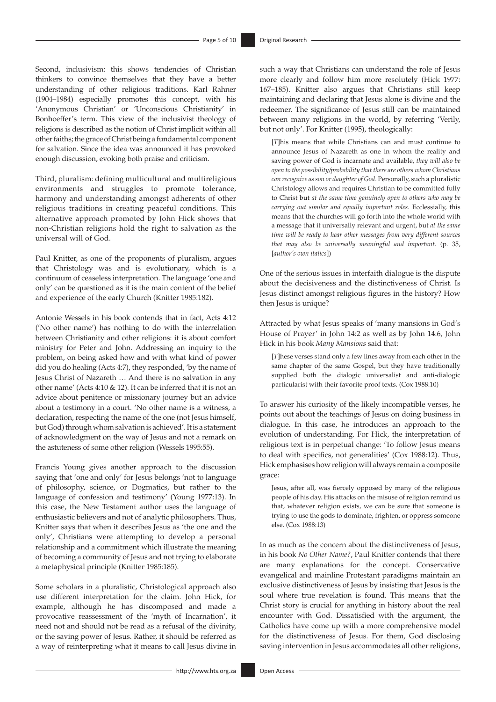Second, inclusivism: this shows tendencies of Christian thinkers to convince themselves that they have a better understanding of other religious traditions. Karl Rahner (1904–1984) especially promotes this concept, with his 'Anonymous Christian' or 'Unconscious Christianity' in Bonhoeffer's term. This view of the inclusivist theology of religions is described as the notion of Christ implicit within all other faiths; the grace of Christ being a fundamental component for salvation. Since the idea was announced it has provoked enough discussion, evoking both praise and criticism.

Third, pluralism: defining multicultural and multireligious environments and struggles to promote tolerance, harmony and understanding amongst adherents of other religious traditions in creating peaceful conditions. This alternative approach promoted by John Hick shows that non-Christian religions hold the right to salvation as the universal will of God.

Paul Knitter, as one of the proponents of pluralism, argues that Christology was and is evolutionary, which is a continuum of ceaseless interpretation. The language 'one and only' can be questioned as it is the main content of the belief and experience of the early Church (Knitter 1985:182).

Antonie Wessels in his book contends that in fact, Acts 4:12 ('No other name') has nothing to do with the interrelation between Christianity and other religions: it is about comfort ministry for Peter and John. Addressing an inquiry to the problem, on being asked how and with what kind of power did you do healing (Acts 4:7), they responded, 'by the name of Jesus Christ of Nazareth … And there is no salvation in any other name' (Acts 4:10 & 12). It can be inferred that it is not an advice about penitence or missionary journey but an advice about a testimony in a court. 'No other name is a witness, a declaration, respecting the name of the one (not Jesus himself, but God) through whom salvation is achieved'. It is a statement of acknowledgment on the way of Jesus and not a remark on the astuteness of some other religion (Wessels 1995:55).

Francis Young gives another approach to the discussion saying that 'one and only' for Jesus belongs 'not to language of philosophy, science, or Dogmatics, but rather to the language of confession and testimony' (Young 1977:13). In this case, the New Testament author uses the language of enthusiastic believers and not of analytic philosophers. Thus, Knitter says that when it describes Jesus as 'the one and the only', Christians were attempting to develop a personal relationship and a commitment which illustrate the meaning of becoming a community of Jesus and not trying to elaborate a metaphysical principle (Knitter 1985:185).

Some scholars in a pluralistic, Christological approach also use different interpretation for the claim. John Hick, for example, although he has discomposed and made a provocative reassessment of the 'myth of Incarnation', it need not and should not be read as a refusal of the divinity, or the saving power of Jesus. Rather, it should be referred as a way of reinterpreting what it means to call Jesus divine in

such a way that Christians can understand the role of Jesus more clearly and follow him more resolutely (Hick 1977: 167–185). Knitter also argues that Christians still keep maintaining and declaring that Jesus alone is divine and the redeemer. The significance of Jesus still can be maintained between many religions in the world, by referring 'Verily, but not only'. For Knitter (1995), theologically:

[*T*]his means that while Christians can and must continue to announce Jesus of Nazareth as one in whom the reality and saving power of God is incarnate and available, *they will also be open to the possibility/probability that there are others whom Christians can recognize as son or daughter of God*. Personally, such a pluralistic Christology allows and requires Christian to be committed fully to Christ but *at the same time genuinely open to others who may be carrying out similar and equally important roles*. Ecclessially, this means that the churches will go forth into the whole world with a message that it universally relevant and urgent, but *at the same time will be ready to hear other messages from very different sources that may also be universally meaningful and important*. (p. 35, [*author's own italics*])

One of the serious issues in interfaith dialogue is the dispute about the decisiveness and the distinctiveness of Christ. Is Jesus distinct amongst religious figures in the history? How then Jesus is unique?

Attracted by what Jesus speaks of 'many mansions in God's House of Prayer' in John 14:2 as well as by John 14:6, John Hick in his book *Many Mansions* said that:

[*T*]hese verses stand only a few lines away from each other in the same chapter of the same Gospel, but they have traditionally supplied both the dialogic universalist and anti-dialogic particularist with their favorite proof texts. (Cox 1988:10)

To answer his curiosity of the likely incompatible verses, he points out about the teachings of Jesus on doing business in dialogue. In this case, he introduces an approach to the evolution of understanding. For Hick, the interpretation of religious text is in perpetual change: 'To follow Jesus means to deal with specifics, not generalities' (Cox 1988:12). Thus, Hick emphasises how religion will always remain a composite grace:

Jesus, after all, was fiercely opposed by many of the religious people of his day. His attacks on the misuse of religion remind us that, whatever religion exists, we can be sure that someone is trying to use the gods to dominate, frighten, or oppress someone else. (Cox 1988:13)

In as much as the concern about the distinctiveness of Jesus, in his book *No Other Name?*, Paul Knitter contends that there are many explanations for the concept. Conservative evangelical and mainline Protestant paradigms maintain an exclusive distinctiveness of Jesus by insisting that Jesus is the soul where true revelation is found. This means that the Christ story is crucial for anything in history about the real encounter with God. Dissatisfied with the argument, the Catholics have come up with a more comprehensive model for the distinctiveness of Jesus. For them, God disclosing saving intervention in Jesus accommodates all other religions,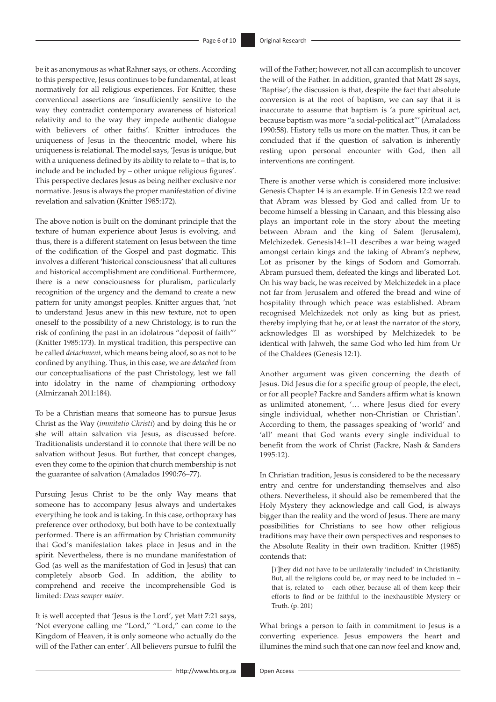be it as anonymous as what Rahner says, or others. According to this perspective, Jesus continues to be fundamental, at least normatively for all religious experiences. For Knitter, these conventional assertions are 'insufficiently sensitive to the way they contradict contemporary awareness of historical relativity and to the way they impede authentic dialogue with believers of other faiths'. Knitter introduces the uniqueness of Jesus in the theocentric model, where his uniqueness is relational. The model says, 'Jesus is unique, but with a uniqueness defined by its ability to relate to – that is, to include and be included by – other unique religious figures'. This perspective declares Jesus as being neither exclusive nor normative. Jesus is always the proper manifestation of divine revelation and salvation (Knitter 1985:172).

The above notion is built on the dominant principle that the texture of human experience about Jesus is evolving, and thus, there is a different statement on Jesus between the time of the codification of the Gospel and past dogmatic. This involves a different 'historical consciousness' that all cultures and historical accomplishment are conditional. Furthermore, there is a new consciousness for pluralism, particularly recognition of the urgency and the demand to create a new pattern for unity amongst peoples. Knitter argues that, 'not to understand Jesus anew in this new texture, not to open oneself to the possibility of a new Christology, is to run the risk of confining the past in an idolatrous "deposit of faith"' (Knitter 1985:173). In mystical tradition, this perspective can be called *detachment*, which means being aloof, so as not to be confined by anything. Thus, in this case, we are *detached* from our conceptualisations of the past Christology, lest we fall into idolatry in the name of championing orthodoxy (Almirzanah 2011:184).

To be a Christian means that someone has to pursue Jesus Christ as the Way (*immitatio Christi*) and by doing this he or she will attain salvation via Jesus, as discussed before. Traditionalists understand it to connote that there will be no salvation without Jesus. But further, that concept changes, even they come to the opinion that church membership is not the guarantee of salvation (Amalados 1990:76–77).

Pursuing Jesus Christ to be the only Way means that someone has to accompany Jesus always and undertakes everything he took and is taking. In this case, orthopraxy has preference over orthodoxy, but both have to be contextually performed. There is an affirmation by Christian community that God's manifestation takes place in Jesus and in the spirit. Nevertheless, there is no mundane manifestation of God (as well as the manifestation of God in Jesus) that can completely absorb God. In addition, the ability to comprehend and receive the incomprehensible God is limited: *Deus semper maior*.

It is well accepted that 'Jesus is the Lord', yet Matt 7:21 says, 'Not everyone calling me "Lord," "Lord," can come to the Kingdom of Heaven, it is only someone who actually do the will of the Father can enter'. All believers pursue to fulfil the

will of the Father; however, not all can accomplish to uncover the will of the Father. In addition, granted that Matt 28 says, 'Baptise'; the discussion is that, despite the fact that absolute conversion is at the root of baptism, we can say that it is inaccurate to assume that baptism is 'a pure spiritual act, because baptism was more "a social-political act"' (Amaladoss 1990:58). History tells us more on the matter. Thus, it can be concluded that if the question of salvation is inherently resting upon personal encounter with God, then all interventions are contingent.

There is another verse which is considered more inclusive: Genesis Chapter 14 is an example. If in Genesis 12:2 we read that Abram was blessed by God and called from Ur to become himself a blessing in Canaan, and this blessing also plays an important role in the story about the meeting between Abram and the king of Salem (Jerusalem), Melchizedek. Genesis14:1–11 describes a war being waged amongst certain kings and the taking of Abram's nephew, Lot as prisoner by the kings of Sodom and Gomorrah. Abram pursued them, defeated the kings and liberated Lot. On his way back, he was received by Melchizedek in a place not far from Jerusalem and offered the bread and wine of hospitality through which peace was established. Abram recognised Melchizedek not only as king but as priest, thereby implying that he, or at least the narrator of the story, acknowledges El as worshiped by Melchizedek to be identical with Jahweh, the same God who led him from Ur of the Chaldees (Genesis 12:1).

Another argument was given concerning the death of Jesus. Did Jesus die for a specific group of people, the elect, or for all people? Fackre and Sanders affirm what is known as unlimited atonement, '… where Jesus died for every single individual, whether non-Christian or Christian'. According to them, the passages speaking of 'world' and 'all' meant that God wants every single individual to benefit from the work of Christ (Fackre, Nash & Sanders 1995:12).

In Christian tradition, Jesus is considered to be the necessary entry and centre for understanding themselves and also others. Nevertheless, it should also be remembered that the Holy Mystery they acknowledge and call God, is always bigger than the reality and the word of Jesus. There are many possibilities for Christians to see how other religious traditions may have their own perspectives and responses to the Absolute Reality in their own tradition. Knitter (1985) contends that:

[*T*]hey did not have to be unilaterally 'included' in Christianity. But, all the religions could be, or may need to be included in – that is, related to – each other, because all of them keep their efforts to find or be faithful to the inexhaustible Mystery or Truth. (p. 201)

What brings a person to faith in commitment to Jesus is a converting experience. Jesus empowers the heart and illumines the mind such that one can now feel and know and,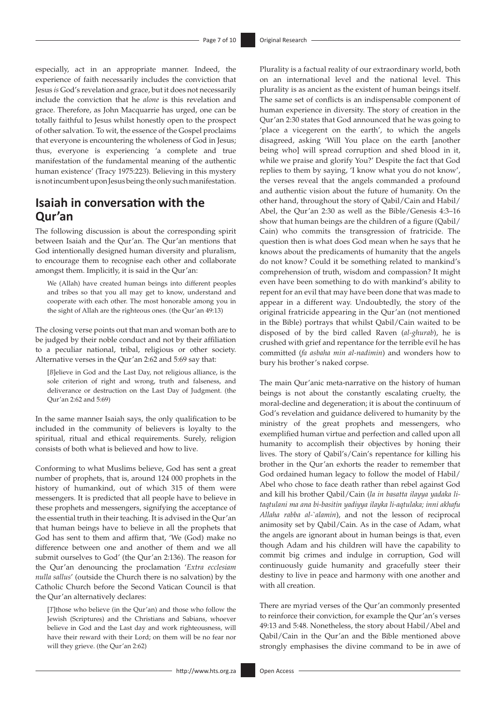especially, act in an appropriate manner. Indeed, the experience of faith necessarily includes the conviction that Jesus *is* God's revelation and grace, but it does not necessarily include the conviction that he *alone* is this revelation and grace. Therefore, as John Macquarrie has urged, one can be totally faithful to Jesus whilst honestly open to the prospect of other salvation. To wit, the essence of the Gospel proclaims that everyone is encountering the wholeness of God in Jesus; thus, everyone is experiencing 'a complete and true manifestation of the fundamental meaning of the authentic human existence' (Tracy 1975:223). Believing in this mystery is not incumbent upon Jesus being the only such manifestation.

# **Isaiah in conversation with the Qur'an**

The following discussion is about the corresponding spirit between Isaiah and the Qur'an. The Qur'an mentions that God intentionally designed human diversity and pluralism, to encourage them to recognise each other and collaborate amongst them. Implicitly, it is said in the Qur'an:

We (Allah) have created human beings into different peoples and tribes so that you all may get to know, understand and cooperate with each other. The most honorable among you in the sight of Allah are the righteous ones. (the Qur'an 49:13)

The closing verse points out that man and woman both are to be judged by their noble conduct and not by their affiliation to a peculiar national, tribal, religious or other society. Alternative verses in the Qur'an 2:62 and 5:69 say that:

[*B*]elieve in God and the Last Day, not religious alliance, is the sole criterion of right and wrong, truth and falseness, and deliverance or destruction on the Last Day of Judgment. (the Qur'an 2:62 and 5:69)

In the same manner Isaiah says, the only qualification to be included in the community of believers is loyalty to the spiritual, ritual and ethical requirements. Surely, religion consists of both what is believed and how to live.

Conforming to what Muslims believe, God has sent a great number of prophets, that is, around 124 000 prophets in the history of humankind, out of which 315 of them were messengers. It is predicted that all people have to believe in these prophets and messengers, signifying the acceptance of the essential truth in their teaching. It is advised in the Qur'an that human beings have to believe in all the prophets that God has sent to them and affirm that, 'We (God) make no difference between one and another of them and we all submit ourselves to God' (the Qur'an 2:136). The reason for the Qur'an denouncing the proclamation '*Extra ecclesiam nulla sallus*' (outside the Church there is no salvation) by the Catholic Church before the Second Vatican Council is that the Qur'an alternatively declares:

[*T*]those who believe (in the Qur'an) and those who follow the Jewish (Scriptures) and the Christians and Sabians, whoever believe in God and the Last day and work righteousness, will have their reward with their Lord; on them will be no fear nor will they grieve. (the Qur'an 2:62)

Plurality is a factual reality of our extraordinary world, both on an international level and the national level. This plurality is as ancient as the existent of human beings itself. The same set of conflicts is an indispensable component of human experience in diversity. The story of creation in the Qur'an 2:30 states that God announced that he was going to 'place a vicegerent on the earth', to which the angels disagreed, asking 'Will You place on the earth [another being who] will spread corruption and shed blood in it, while we praise and glorify You?' Despite the fact that God replies to them by saying, 'I know what you do not know', the verses reveal that the angels commanded a profound and authentic vision about the future of humanity. On the other hand, throughout the story of Qabil/Cain and Habil/ Abel, the Qur'an 2:30 as well as the Bible/Genesis 4:3–16 show that human beings are the children of a figure (Qabil/ Cain) who commits the transgression of fratricide. The question then is what does God mean when he says that he knows about the predicaments of humanity that the angels do not know? Could it be something related to mankind's comprehension of truth, wisdom and compassion? It might even have been something to do with mankind's ability to repent for an evil that may have been done that was made to appear in a different way. Undoubtedly, the story of the original fratricide appearing in the Qur'an (not mentioned in the Bible) portrays that whilst Qabil/Cain waited to be disposed of by the bird called Raven (*al-ghurab*), he is crushed with grief and repentance for the terrible evil he has committed (*fa asbaha min al-nadimin*) and wonders how to bury his brother's naked corpse.

The main Qur'anic meta-narrative on the history of human beings is not about the constantly escalating cruelty, the moral-decline and degeneration; it is about the continuum of God's revelation and guidance delivered to humanity by the ministry of the great prophets and messengers, who exemplified human virtue and perfection and called upon all humanity to accomplish their objectives by honing their lives. The story of Qabil's/Cain's repentance for killing his brother in the Qur'an exhorts the reader to remember that God ordained human legacy to follow the model of Habil/ Abel who chose to face death rather than rebel against God and kill his brother Qabil/Cain (*la in basatta ilayya yadaka litaqtulani ma ana bi-basitin yadiyya ilayka li-aqtulaka; inni akhafu Allaha rabba al-`alamin*), and not the lesson of reciprocal animosity set by Qabil/Cain. As in the case of Adam, what the angels are ignorant about in human beings is that, even though Adam and his children will have the capability to commit big crimes and indulge in corruption, God will continuously guide humanity and gracefully steer their destiny to live in peace and harmony with one another and with all creation.

There are myriad verses of the Qur'an commonly presented to reinforce their conviction, for example the Qur'an's verses 49:13 and 5:48. Nonetheless, the story about Habil/Abel and Qabil/Cain in the Qur'an and the Bible mentioned above strongly emphasises the divine command to be in awe of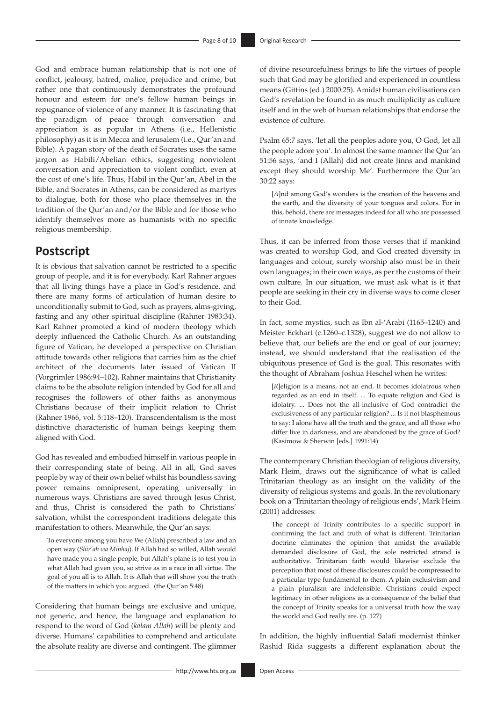God and embrace human relationship that is not one of conflict, jealousy, hatred, malice, prejudice and crime, but rather one that continuously demonstrates the profound honour and esteem for one's fellow human beings in repugnance of violence of any manner. It is fascinating that the paradigm of peace through conversation and appreciation is as popular in Athens (i.e., Hellenistic philosophy) as it is in Mecca and Jerusalem (i.e., Qur'an and Bible). A pagan story of the death of Socrates uses the same jargon as Habili/Abelian ethics, suggesting nonviolent conversation and appreciation to violent conflict, even at the cost of one's life. Thus, Habil in the Qur'an, Abel in the Bible, and Socrates in Athens, can be considered as martyrs to dialogue, both for those who place themselves in the tradition of the Qur'an and/or the Bible and for those who identify themselves more as humanists with no specific religious membership.

# **Postscript**

It is obvious that salvation cannot be restricted to a specific group of people, and it is for everybody. Karl Rahner argues that all living things have a place in God's residence, and there are many forms of articulation of human desire to unconditionally submit to God, such as prayers, alms-giving, fasting and any other spiritual discipline (Rahner 1983:34). Karl Rahner promoted a kind of modern theology which deeply influenced the Catholic Church. As an outstanding figure of Vatican, he developed a perspective on Christian attitude towards other religions that carries him as the chief architect of the documents later issued of Vatican II (Vorgrimler 1986:94–102). Rahner maintains that Christianity claims to be the absolute religion intended by God for all and recognises the followers of other faiths as anonymous Christians because of their implicit relation to Christ (Rahner 1966, vol. 5:118–120). Transcendentalism is the most distinctive characteristic of human beings keeping them aligned with God.

God has revealed and embodied himself in various people in their corresponding state of being. All in all, God saves people by way of their own belief whilst his boundless saving power remains omnipresent, operating universally in numerous ways. Christians are saved through Jesus Christ, and thus, Christ is considered the path to Christians' salvation, whilst the correspondent traditions delegate this manifestation to others. Meanwhile, the Qur'an says:

To everyone among you have We (Allah) prescribed a law and an open way (*Shir'ah wa Minhaj*). If Allah had so willed, Allah would have made you a single people, but Allah's plane is to test you in what Allah had given you, so strive as in a race in all virtue. The goal of you all is to Allah. It is Allah that will show you the truth of the matters in which you argued. (the Qur'an 5:48)

Considering that human beings are exclusive and unique, not generic, and hence, the language and explanation to respond to the word of God (*kalam Allah*) will be plenty and diverse. Humans' capabilities to comprehend and articulate the absolute reality are diverse and contingent. The glimmer of divine resourcefulness brings to life the virtues of people such that God may be glorified and experienced in countless means (Gittins (ed.) 2000:25). Amidst human civilisations can God's revelation be found in as much multiplicity as culture itself and in the web of human relationships that endorse the existence of culture.

Psalm 65:7 says, 'let all the peoples adore you, O God, let all the people adore you'. In almost the same manner the Qur'an 51:56 says, 'and I (Allah) did not create Jinns and mankind except they should worship Me'. Furthermore the Qur'an 30:22 says:

[*A*]nd among God's wonders is the creation of the heavens and the earth, and the diversity of your tongues and colors. For in this, behold, there are messages indeed for all who are possessed of innate knowledge.

Thus, it can be inferred from those verses that if mankind was created to worship God, and God created diversity in languages and colour, surely worship also must be in their own languages; in their own ways, as per the customs of their own culture. In our situation, we must ask what is it that people are seeking in their cry in diverse ways to come closer to their God.

In fact, some mystics, such as Ibn al-'Arabi (1165–1240) and Meister Eckhart (c.1260–c.1328), suggest we do not allow to believe that, our beliefs are the end or goal of our journey; instead, we should understand that the realisation of the ubiquitous presence of God is the goal. This resonates with the thought of Abraham Joshua Heschel when he writes:

[*R*]eligion is a means, not an end. It becomes idolatrous when regarded as an end in itself. ... To equate religion and God is idolatry. ... Does not the all-inclusive of God contradict the exclusiveness of any particular religion? ... Is it not blasphemous to say: I alone have all the truth and the grace, and all those who differ live in darkness, and are abandoned by the grace of God? (Kasimow & Sherwin [eds.] 1991:14)

The contemporary Christian theologian of religious diversity, Mark Heim, draws out the significance of what is called Trinitarian theology as an insight on the validity of the diversity of religious systems and goals. In the revolutionary book on a 'Trinitarian theology of religious ends', Mark Heim (2001) addresses:

The concept of Trinity contributes to a specific support in confirming the fact and truth of what is different. Trinitarian doctrine eliminates the opinion that amidst the available demanded disclosure of God, the sole restricted strand is authoritative. Trinitarian faith would likewise exclude the perception that most of these disclosures could be compressed to a particular type fundamental to them. A plain exclusivism and a plain pluralism are indefensible. Christians could expect legitimacy in other religions as a consequence of the belief that the concept of Trinity speaks for a universal truth how the way the world and God really are. (p. 127)

In addition, the highly influential Salafi modernist thinker Rashid Rida suggests a different explanation about the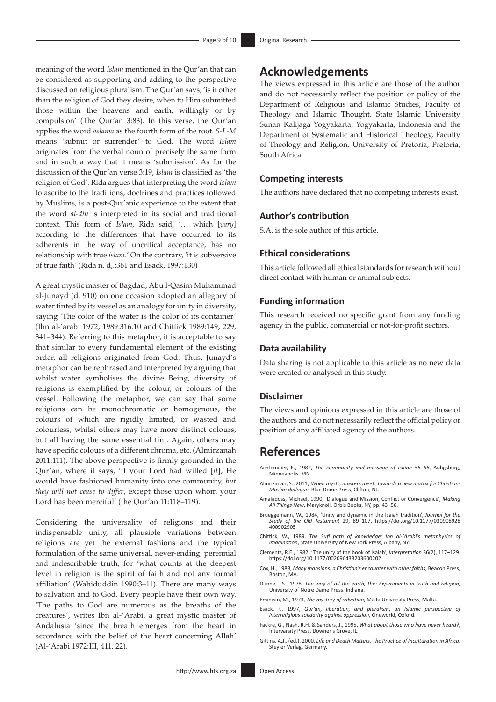meaning of the word *Islam* mentioned in the Qur'an that can be considered as supporting and adding to the perspective discussed on religious pluralism. The Qur'an says, 'is it other than the religion of God they desire, when to Him submitted those within the heavens and earth, willingly or by compulsion' (The Qur'an 3:83). In this verse, the Qur'an applies the word *aslama* as the fourth form of the root. *S-L-M* means 'submit or surrender' to God. The word *Islam* originates from the verbal noun of precisely the same form and in such a way that it means 'submission'. As for the discussion of the Qur'an verse 3:19, *Islam* is classified as 'the religion of God'. Rida argues that interpreting the word *Islam* to ascribe to the traditions, doctrines and practices followed by Muslims, is a post-Qur'anic experience to the extent that the word *al-din* is interpreted in its social and traditional context. This form of *Islam*, Rida said, '… which [*vary*] according to the differences that have occurred to its adherents in the way of uncritical acceptance, has no relationship with true *islam*.' On the contrary, 'it is subversive of true faith' (Rida n. d,.:361 and Esack, 1997:130)

A great mystic master of Bagdad, Abu l-Qasim Muhammad al-Junayd (d. 910) on one occasion adopted an allegory of water tinted by its vessel as an analogy for unity in diversity, saying 'The color of the water is the color of its container' (Ibn al-'arabi 1972, 1989:316.10 and Chittick 1989:149, 229, 341–344). Referring to this metaphor, it is acceptable to say that similar to every fundamental element of the existing order, all religions originated from God. Thus, Junayd's metaphor can be rephrased and interpreted by arguing that whilst water symbolises the divine Being, diversity of religions is exemplified by the colour, or colours of the vessel. Following the metaphor, we can say that some religions can be monochromatic or homogenous, the colours of which are rigidly limited, or wasted and colourless, whilst others may have more distinct colours, but all having the same essential tint. Again, others may have specific colours of a different chroma, etc. (Almirzanah 2011:111). The above perspective is firmly grounded in the Qur'an, where it says, 'If your Lord had willed [*it*], He would have fashioned humanity into one community, *but they will not cease to differ*, except those upon whom your Lord has been merciful' (the Qur'an 11:118–119).

Considering the universality of religions and their indispensable unity, all plausible variations between religions are yet the external fashions and the typical formulation of the same universal, never-ending, perennial and indescribable truth, for 'what counts at the deepest level in religion is the spirit of faith and not any formal affiliation' (Wahiduddin 1990:3–11). There are many ways to salvation and to God. Every people have their own way. 'The paths to God are numerous as the breaths of the creatures', writes Ibn al-`Arabi, a great mystic master of Andalusia 'since the breath emerges from the heart in accordance with the belief of the heart concerning Allah' (Al-'Arabi 1972:III, 411. 22).

# **Acknowledgements**

The views expressed in this article are those of the author and do not necessarily reflect the position or policy of the Department of Religious and Islamic Studies, Faculty of Theology and Islamic Thought, State Islamic University Sunan Kalijaga Yogyakarta, Yogyakarta, Indonesia and the Department of Systematic and Historical Theology, Faculty of Theology and Religion, University of Pretoria, Pretoria, South Africa.

## **Competing interests**

The authors have declared that no competing interests exist.

# **Author's contribution**

S.A. is the sole author of this article.

# **Ethical considerations**

This article followed all ethical standards for research without direct contact with human or animal subjects.

## **Funding information**

This research received no specific grant from any funding agency in the public, commercial or not-for-profit sectors.

### **Data availability**

Data sharing is not applicable to this article as no new data were created or analysed in this study.

## **Disclaimer**

The views and opinions expressed in this article are those of the authors and do not necessarily reflect the official policy or position of any affiliated agency of the authors.

# **References**

- Achtemeier, E., 1982, *The community and message of Isaiah 56–66*, Auhgsburg, Minneapolis, MN.
- Almirzanah, S., 2011, *When mystic masters meet: Towards a new matrix for Christian-Muslim dialogue*, Blue Dome Press, Clifton, NJ.
- Amaladoss, Michael, 1990, 'Dialogue and Mission, Conflict or Convergence', *Making All Things New*, Maryknoll, Orbis Books, NY, pp. 43–56.
- Brueggemann, W., 1984, 'Unity and dynamic in the Isaiah tradition', *Journal for the Study of the Old Testament* 29, 89–107. [https://doi.org/10.1177/030908928](https://doi.org/10.1177/030908928400902905) [400902905](https://doi.org/10.1177/030908928400902905)
- Chittick, W., 1989, *The Sufi path of knowledge: Ibn al-`Arabi's metaphysics of imagination*, State University of New York Press, Albany, NY.
- Clements, R.E., 1982, 'The unity of the book of Isaiah', *Interpretation* 36(2), 117–129. <https://doi.org/10.1177/002096438203600202>
- Cox, H., 1988, *Many mansions, a Christian's encounter with other faiths*, Beacon Press, Boston, MA.
- Dunne, J.S., 1978, *The way of all the earth, the: Experiments in truth and religion*, University of Notre Dame Press, Indiana.
- Eminyan, M., 1973, *The mystery of salvation*, Malta University Press, Malta.
- Esack, F., 1997, *Qur'an, liberation, and pluralism*, *an Islamic perspective of interreligious solidarity against oppression*, Oneworld, Oxford.
- Fackre, G., Nash, R.H. & Sanders, J., 1995, *What about those who have never heard?*, Intervarsity Press, Downer's Grove, IL.
- Gittins, A.J., (ed.), 2000, *Life and Death Matters*, *The Practice of Inculturation in Africa*, Steyler Verlag, Germany.